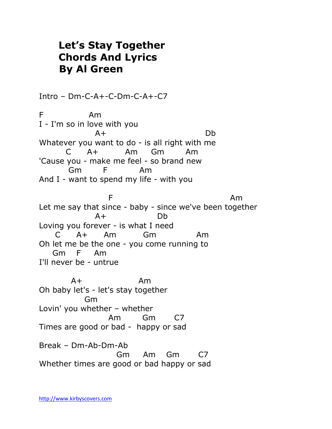## **Let's Stay Together Chords And Lyrics By Al Green**

Intro – Dm-C-A+-C-Dm-C-A+-C7 F Am I - I'm so in love with you A+ Db Whatever you want to do - is all right with me C A+ Am Gm Am 'Cause you - make me feel - so brand new Gm F Am And I - want to spend my life - with you **F** Am Let me say that since - baby - since we've been together A+ Db Loving you forever - is what I need C A+ Am Gm Am Oh let me be the one - you come running to Gm F Am I'll never be - untrue A+ Am Oh baby let's - let's stay together Gm Lovin' you whether – whether Am Gm C7 Times are good or bad - happy or sad Break – Dm-Ab-Dm-Ab Gm Am Gm C7 Whether times are good or bad happy or sad